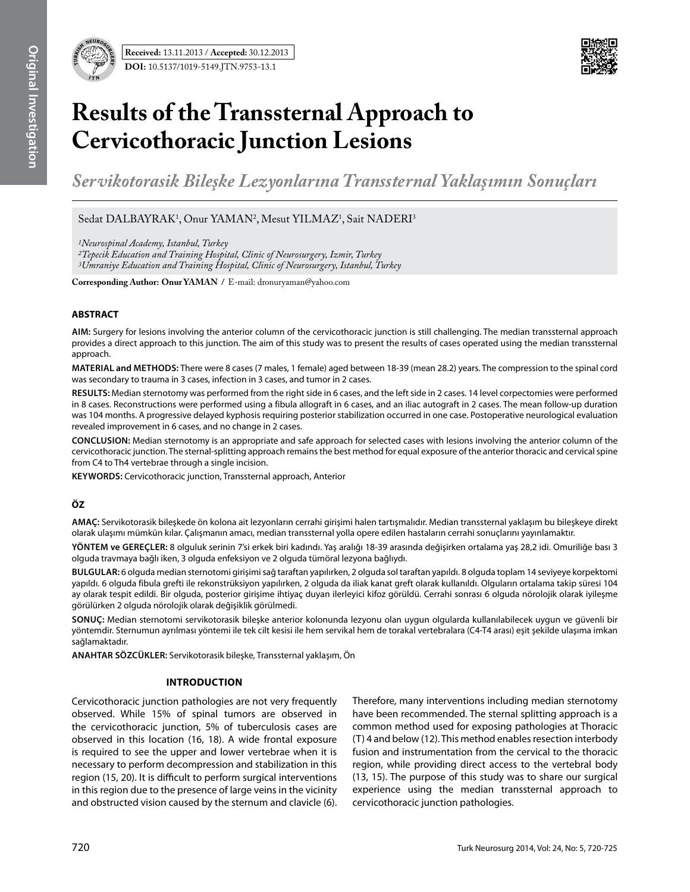

# **Results of the Transsternal Approach to Cervicothoracic Junction Lesions**

*Servikotorasik Bileşke Lezyonlarına Transsternal Yaklaşımın Sonuçları*

Sedat DALBAYRAK<sup>1</sup>, Onur YAMAN<sup>2</sup>, Mesut YILMAZ<sup>1</sup>, Sait NADERI<sup>3</sup>

*1Neurospinal Academy, Istanbul, Turkey*

*2Tepecik Education and Training Hospital, Clinic of Neurosurgery, Izmir, Turkey*

*3Umraniye Education and Training Hospital, Clinic of Neurosurgery, Istanbul, Turkey*

**Corresponding Author: Onur YAMAN / E-mail: dronuryaman@yahoo.com** 

### **ABSTRACT**

**AIm:** Surgery for lesions involving the anterior column of the cervicothoracic junction is still challenging. The median transsternal approach provides a direct approach to this junction. The aim of this study was to present the results of cases operated using the median transsternal approach.

**MaterIal and Methods:** There were 8 cases (7 males, 1 female) aged between 18-39 (mean 28.2) years. The compression to the spinal cord was secondary to trauma in 3 cases, infection in 3 cases, and tumor in 2 cases.

**Results:** Median sternotomy was performed from the right side in 6 cases, and the left side in 2 cases. 14 level corpectomies were performed in 8 cases. Reconstructions were performed using a fibula allograft in 6 cases, and an iliac autograft in 2 cases. The mean follow-up duration was 104 months. A progressive delayed kyphosis requiring posterior stabilization occurred in one case. Postoperative neurological evaluation revealed improvement in 6 cases, and no change in 2 cases.

**ConclusIon:** Median sternotomy is an appropriate and safe approach for selected cases with lesions involving the anterior column of the cervicothoracic junction. The sternal-splitting approach remains the best method for equal exposure of the anterior thoracic and cervical spine from C4 to Th4 vertebrae through a single incision.

**Keywords:** Cervicothoracic junction, Transsternal approach, Anterior

## **ÖZ**

**AMAÇ:** Servikotorasik bileşkede ön kolona ait lezyonların cerrahi girişimi halen tartışmalıdır. Median transsternal yaklaşım bu bileşkeye direkt olarak ulaşımı mümkün kılar. Çalışmanın amacı, median transsternal yolla opere edilen hastaların cerrahi sonuçlarını yayınlamaktır.

**YÖNTEM ve GEREÇLER:** 8 olguluk serinin 7'si erkek biri kadındı. Yaş aralığı 18-39 arasında değişirken ortalama yaş 28,2 idi. Omuriliğe bası 3 olguda travmaya bağlı iken, 3 olguda enfeksiyon ve 2 olguda tümöral lezyona bağlıydı.

**BULGULAR:** 6 olguda median sternotomi girişimi sağ taraftan yapılırken, 2 olguda sol taraftan yapıldı. 8 olguda toplam 14 seviyeye korpektomi yapıldı. 6 olguda fibula grefti ile rekonstrüksiyon yapılırken, 2 olguda da iliak kanat greft olarak kullanıldı. Olguların ortalama takip süresi 104 ay olarak tespit edildi. Bir olguda, posterior girişime ihtiyaç duyan ilerleyici kifoz görüldü. Cerrahi sonrası 6 olguda nörolojik olarak iyileşme görülürken 2 olguda nörolojik olarak değişiklik görülmedi.

**SONUÇ:** Median sternotomi servikotorasik bileşke anterior kolonunda lezyonu olan uygun olgularda kullanılabilecek uygun ve güvenli bir yöntemdir. Sternumun ayrılması yöntemi ile tek cilt kesisi ile hem servikal hem de torakal vertebralara (C4-T4 arası) eşit şekilde ulaşıma imkan sağlamaktadır.

**ANAHTAR SÖZCÜKLER:** Servikotorasik bileşke, Transsternal yaklaşım, Ön

#### **Introduction**

Cervicothoracic junction pathologies are not very frequently observed. While 15% of spinal tumors are observed in the cervicothoracic junction, 5% of tuberculosis cases are observed in this location (16, 18). A wide frontal exposure is required to see the upper and lower vertebrae when it is necessary to perform decompression and stabilization in this region (15, 20). It is difficult to perform surgical interventions in this region due to the presence of large veins in the vicinity and obstructed vision caused by the sternum and clavicle (6). Therefore, many interventions including median sternotomy have been recommended. The sternal splitting approach is a common method used for exposing pathologies at Thoracic (T) 4 and below (12). This method enables resection interbody fusion and instrumentation from the cervical to the thoracic region, while providing direct access to the vertebral body (13, 15). The purpose of this study was to share our surgical experience using the median transsternal approach to cervicothoracic junction pathologies.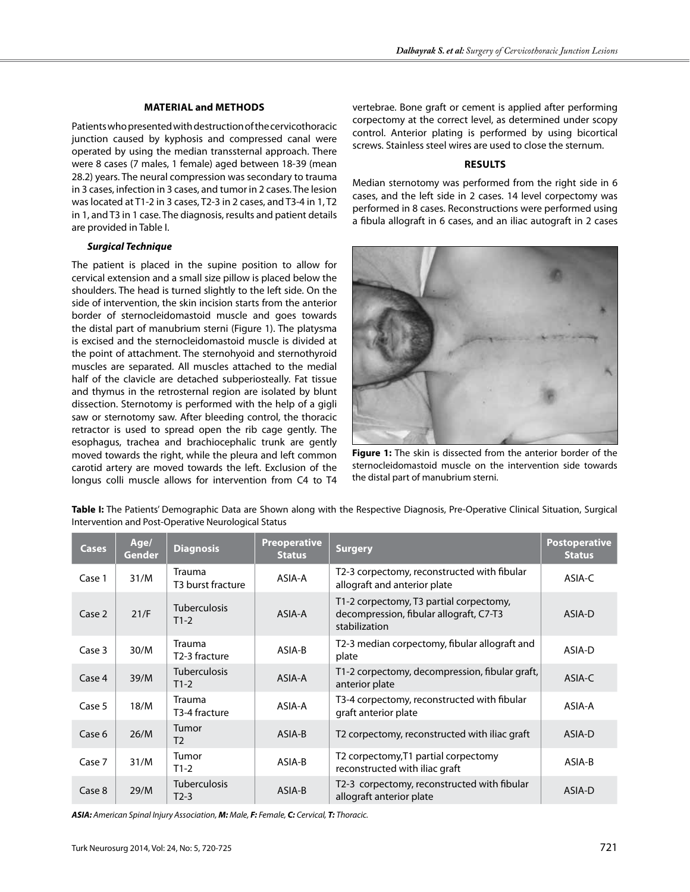## **Material and Methods**

Patients who presented with destruction of the cervicothoracic junction caused by kyphosis and compressed canal were operated by using the median transsternal approach. There were 8 cases (7 males, 1 female) aged between 18-39 (mean 28.2) years. The neural compression was secondary to trauma in 3 cases, infection in 3 cases, and tumor in 2 cases. The lesion was located at T1-2 in 3 cases, T2-3 in 2 cases, and T3-4 in 1, T2 in 1, and T3 in 1 case. The diagnosis, results and patient details are provided in Table I.

# *Surgical Technique*

The patient is placed in the supine position to allow for cervical extension and a small size pillow is placed below the shoulders. The head is turned slightly to the left side. On the side of intervention, the skin incision starts from the anterior border of sternocleidomastoid muscle and goes towards the distal part of manubrium sterni (Figure 1). The platysma is excised and the sternocleidomastoid muscle is divided at the point of attachment. The sternohyoid and sternothyroid muscles are separated. All muscles attached to the medial half of the clavicle are detached subperiosteally. Fat tissue and thymus in the retrosternal region are isolated by blunt dissection. Sternotomy is performed with the help of a gigli saw or sternotomy saw. After bleeding control, the thoracic retractor is used to spread open the rib cage gently. The esophagus, trachea and brachiocephalic trunk are gently moved towards the right, while the pleura and left common carotid artery are moved towards the left. Exclusion of the longus colli muscle allows for intervention from C4 to T4

vertebrae. Bone graft or cement is applied after performing corpectomy at the correct level, as determined under scopy control. Anterior plating is performed by using bicortical screws. Stainless steel wires are used to close the sternum.

# **Results**

Median sternotomy was performed from the right side in 6 cases, and the left side in 2 cases. 14 level corpectomy was performed in 8 cases. Reconstructions were performed using a fibula allograft in 6 cases, and an iliac autograft in 2 cases



**Figure 1:** The skin is dissected from the anterior border of the sternocleidomastoid muscle on the intervention side towards the distal part of manubrium sterni.

| Table I: The Patients' Demographic Data are Shown along with the Respective Diagnosis, Pre-Operative Clinical Situation, Surgical |  |  |  |  |
|-----------------------------------------------------------------------------------------------------------------------------------|--|--|--|--|
| Intervention and Post-Operative Neurological Status                                                                               |  |  |  |  |

| <b>Cases</b> | Age/<br><b>Gender</b> | <b>Diagnosis</b>                            | <b>Preoperative</b><br><b>Status</b> | <b>Surgery</b>                                                                                      | <b>Postoperative</b><br><b>Status</b> |
|--------------|-----------------------|---------------------------------------------|--------------------------------------|-----------------------------------------------------------------------------------------------------|---------------------------------------|
| Case 1       | 31/M                  | Trauma<br>T <sub>3</sub> burst fracture     | ASIA-A                               | T2-3 corpectomy, reconstructed with fibular<br>allograft and anterior plate                         | ASIA-C                                |
| Case 2       | 21/F                  | <b>Tuberculosis</b><br>$T1-2$               | ASIA-A                               | T1-2 corpectomy, T3 partial corpectomy,<br>decompression, fibular allograft, C7-T3<br>stabilization | ASIA-D                                |
| Case 3       | 30/M                  | <b>Trauma</b><br>T <sub>2</sub> -3 fracture | ASIA-B                               | T2-3 median corpectomy, fibular allograft and<br>plate                                              | ASIA-D                                |
| Case 4       | 39/M                  | <b>Tuberculosis</b><br>$T1-2$               | ASIA-A                               | T1-2 corpectomy, decompression, fibular graft,<br>anterior plate                                    | ASIA-C                                |
| Case 5       | 18/M                  | <b>Trauma</b><br>T3-4 fracture              | ASIA-A                               | T3-4 corpectomy, reconstructed with fibular<br>graft anterior plate                                 | ASIA-A                                |
| Case 6       | 26/M                  | Tumor<br>T <sub>2</sub>                     | ASIA-B                               | T2 corpectomy, reconstructed with iliac graft                                                       | ASIA-D                                |
| Case 7       | 31/M                  | Tumor<br>$T1-2$                             | ASIA-B                               | T2 corpectomy, T1 partial corpectomy<br>reconstructed with iliac graft                              | ASIA-B                                |
| Case 8       | 29/M                  | <b>Tuberculosis</b><br>$T2-3$               | ASIA-B                               | T2-3 corpectomy, reconstructed with fibular<br>allograft anterior plate                             | ASIA-D                                |

*ASIA: American Spinal Injury Association, M: Male, F: Female, C: Cervical, T: Thoracic.*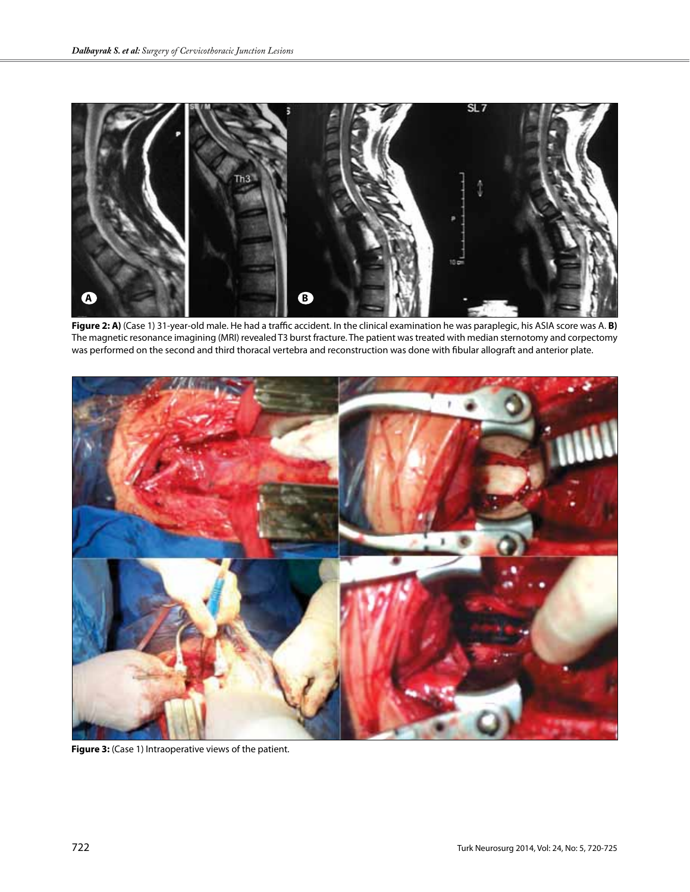

**Figure 2: A)** (Case 1) 31-year-old male. He had a traffic accident. In the clinical examination he was paraplegic, his ASIA score was A. **B)** The magnetic resonance imagining (MRI) revealed T3 burst fracture. The patient was treated with median sternotomy and corpectomy was performed on the second and third thoracal vertebra and reconstruction was done with fibular allograft and anterior plate.



Figure 3: (Case 1) Intraoperative views of the patient.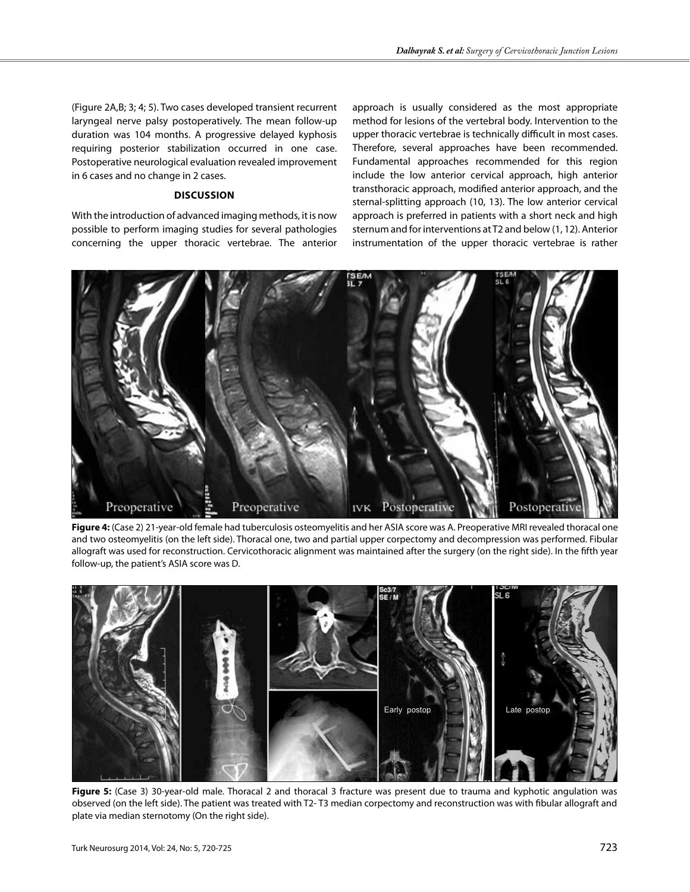(Figure 2A,B; 3; 4; 5). Two cases developed transient recurrent laryngeal nerve palsy postoperatively. The mean follow-up duration was 104 months. A progressive delayed kyphosis requiring posterior stabilization occurred in one case. Postoperative neurological evaluation revealed improvement in 6 cases and no change in 2 cases.

## **Discussion**

With the introduction of advanced imaging methods, it is now possible to perform imaging studies for several pathologies concerning the upper thoracic vertebrae. The anterior approach is usually considered as the most appropriate method for lesions of the vertebral body. Intervention to the upper thoracic vertebrae is technically difficult in most cases. Therefore, several approaches have been recommended. Fundamental approaches recommended for this region include the low anterior cervical approach, high anterior transthoracic approach, modified anterior approach, and the sternal-splitting approach (10, 13). The low anterior cervical approach is preferred in patients with a short neck and high sternum and for interventions at T2 and below (1, 12). Anterior instrumentation of the upper thoracic vertebrae is rather



**Figure 4:** (Case 2) 21-year-old female had tuberculosis osteomyelitis and her ASIA score was A. Preoperative MRI revealed thoracal one and two osteomyelitis (on the left side). Thoracal one, two and partial upper corpectomy and decompression was performed. Fibular allograft was used for reconstruction. Cervicothoracic alignment was maintained after the surgery (on the right side). In the fifth year follow-up, the patient's ASIA score was D.



**Figure 5:** (Case 3) 30-year-old male. Thoracal 2 and thoracal 3 fracture was present due to trauma and kyphotic angulation was observed (on the left side). The patient was treated with T2- T3 median corpectomy and reconstruction was with fibular allograft and plate via median sternotomy (On the right side).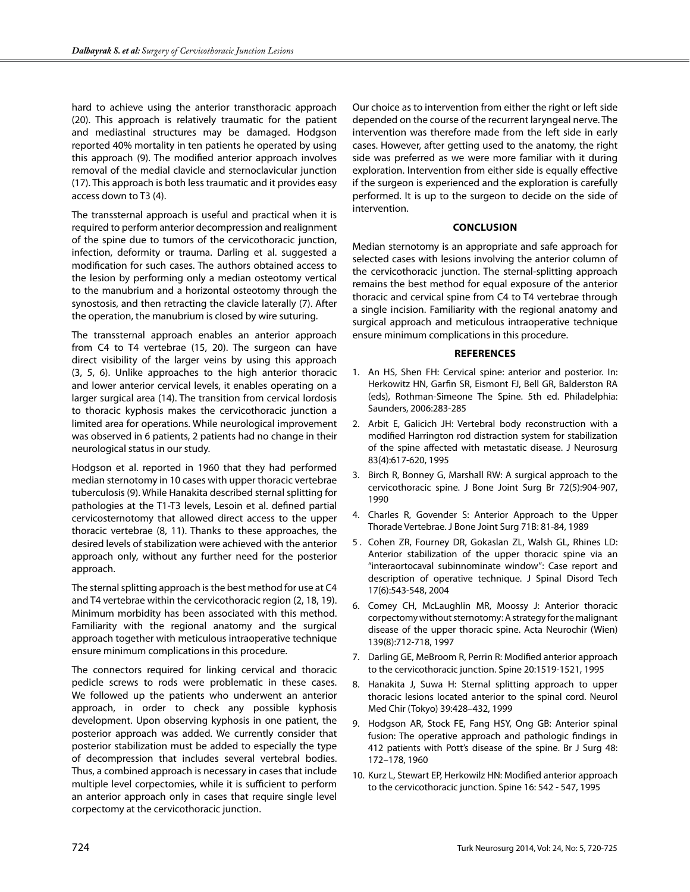hard to achieve using the anterior transthoracic approach (20). This approach is relatively traumatic for the patient and mediastinal structures may be damaged. Hodgson reported 40% mortality in ten patients he operated by using this approach (9). The modified anterior approach involves removal of the medial clavicle and sternoclavicular junction (17). This approach is both less traumatic and it provides easy access down to T3 (4).

The transsternal approach is useful and practical when it is required to perform anterior decompression and realignment of the spine due to tumors of the cervicothoracic junction, infection, deformity or trauma. Darling et al. suggested a modification for such cases. The authors obtained access to the lesion by performing only a median osteotomy vertical to the manubrium and a horizontal osteotomy through the synostosis, and then retracting the clavicle laterally (7). After the operation, the manubrium is closed by wire suturing.

The transsternal approach enables an anterior approach from C4 to T4 vertebrae (15, 20). The surgeon can have direct visibility of the larger veins by using this approach (3, 5, 6). Unlike approaches to the high anterior thoracic and lower anterior cervical levels, it enables operating on a larger surgical area (14). The transition from cervical lordosis to thoracic kyphosis makes the cervicothoracic junction a limited area for operations. While neurological improvement was observed in 6 patients, 2 patients had no change in their neurological status in our study.

Hodgson et al. reported in 1960 that they had performed median sternotomy in 10 cases with upper thoracic vertebrae tuberculosis (9). While Hanakita described sternal splitting for pathologies at the T1-T3 levels, Lesoin et al. defined partial cervicosternotomy that allowed direct access to the upper thoracic vertebrae (8, 11). Thanks to these approaches, the desired levels of stabilization were achieved with the anterior approach only, without any further need for the posterior approach.

The sternal splitting approach is the best method for use at C4 and T4 vertebrae within the cervicothoracic region (2, 18, 19). Minimum morbidity has been associated with this method. Familiarity with the regional anatomy and the surgical approach together with meticulous intraoperative technique ensure minimum complications in this procedure.

The connectors required for linking cervical and thoracic pedicle screws to rods were problematic in these cases. We followed up the patients who underwent an anterior approach, in order to check any possible kyphosis development. Upon observing kyphosis in one patient, the posterior approach was added. We currently consider that posterior stabilization must be added to especially the type of decompression that includes several vertebral bodies. Thus, a combined approach is necessary in cases that include multiple level corpectomies, while it is sufficient to perform an anterior approach only in cases that require single level corpectomy at the cervicothoracic junction.

Our choice as to intervention from either the right or left side depended on the course of the recurrent laryngeal nerve. The intervention was therefore made from the left side in early cases. However, after getting used to the anatomy, the right side was preferred as we were more familiar with it during exploration. Intervention from either side is equally effective if the surgeon is experienced and the exploration is carefully performed. It is up to the surgeon to decide on the side of intervention.

#### **Conclusion**

Median sternotomy is an appropriate and safe approach for selected cases with lesions involving the anterior column of the cervicothoracic junction. The sternal-splitting approach remains the best method for equal exposure of the anterior thoracic and cervical spine from C4 to T4 vertebrae through a single incision. Familiarity with the regional anatomy and surgical approach and meticulous intraoperative technique ensure minimum complications in this procedure.

#### **References**

- 1. An HS, Shen FH: Cervical spine: anterior and posterior. In: Herkowitz HN, Garfin SR, Eismont FJ, Bell GR, Balderston RA (eds), Rothman-Simeone The Spine. 5th ed. Philadelphia: Saunders, 2006:283-285
- 2. Arbit E, Galicich JH: Vertebral body reconstruction with a modified Harrington rod distraction system for stabilization of the spine affected with metastatic disease. J Neurosurg 83(4):617-620, 1995
- 3. Birch R, Bonney G, Marshall RW: A surgical approach to the cervicothoracic spine. J Bone Joint Surg Br 72(5):904-907, 1990
- 4. Charles R, Govender S: Anterior Approach to the Upper Thorade Vertebrae. J Bone Joint Surg 71B: 81-84, 1989
- 5 . Cohen ZR, Fourney DR, Gokaslan ZL, Walsh GL, Rhines LD: Anterior stabilization of the upper thoracic spine via an "interaortocaval subinnominate window": Case report and description of operative technique. J Spinal Disord Tech 17(6):543-548, 2004
- 6. Comey CH, McLaughlin MR, Moossy J: Anterior thoracic corpectomy without sternotomy: A strategy for the malignant disease of the upper thoracic spine. Acta Neurochir (Wien) 139(8):712-718, 1997
- 7. Darling GE, MeBroom R, Perrin R: Modified anterior approach to the cervicothoracic junction. Spine 20:1519-1521, 1995
- 8. Hanakita J, Suwa H: Sternal splitting approach to upper thoracic lesions located anterior to the spinal cord. Neurol Med Chir (Tokyo) 39:428–432, 1999
- 9. Hodgson AR, Stock FE, Fang HSY, Ong GB: Anterior spinal fusion: The operative approach and pathologic findings in 412 patients with Pott's disease of the spine. Br J Surg 48: 172–178, 1960
- 10. Kurz L, Stewart EP, Herkowilz HN: Modified anterior approach to the cervicothoracic junction. Spine 16: 542 - 547, 1995